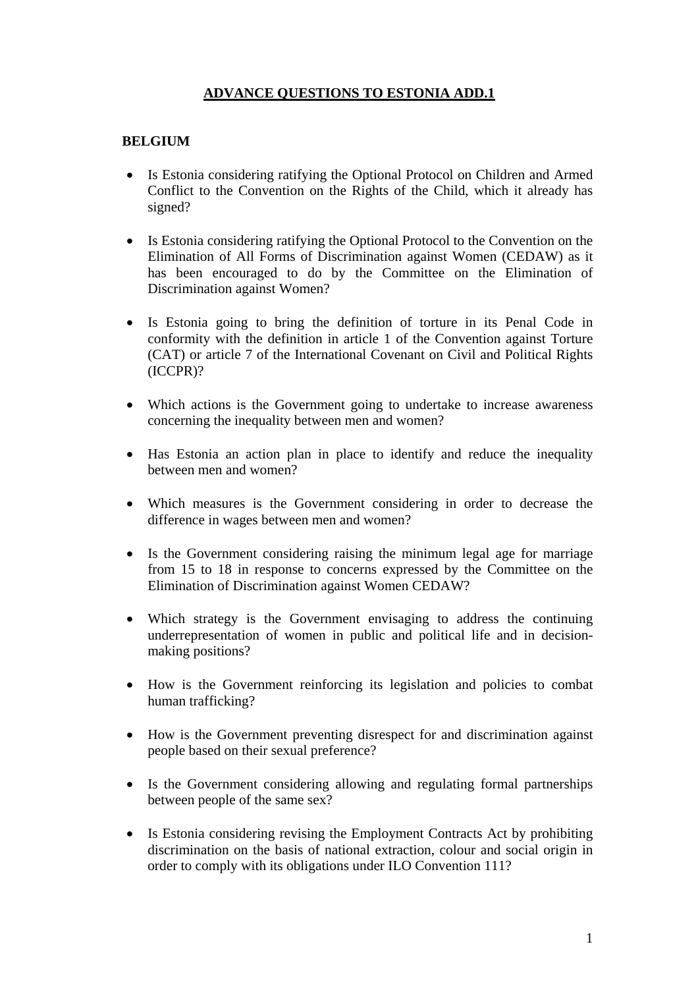## **ADVANCE QUESTIONS TO ESTONIA ADD.1**

## **BELGIUM**

- Is Estonia considering ratifying the Optional Protocol on Children and Armed Conflict to the Convention on the Rights of the Child, which it already has signed?
- Is Estonia considering ratifying the Optional Protocol to the Convention on the Elimination of All Forms of Discrimination against Women (CEDAW) as it has been encouraged to do by the Committee on the Elimination of Discrimination against Women?
- Is Estonia going to bring the definition of torture in its Penal Code in conformity with the definition in article 1 of the Convention against Torture (CAT) or article 7 of the International Covenant on Civil and Political Rights (ICCPR)?
- Which actions is the Government going to undertake to increase awareness concerning the inequality between men and women?
- Has Estonia an action plan in place to identify and reduce the inequality between men and women?
- Which measures is the Government considering in order to decrease the difference in wages between men and women?
- Is the Government considering raising the minimum legal age for marriage from 15 to 18 in response to concerns expressed by the Committee on the Elimination of Discrimination against Women CEDAW?
- Which strategy is the Government envisaging to address the continuing underrepresentation of women in public and political life and in decisionmaking positions?
- How is the Government reinforcing its legislation and policies to combat human trafficking?
- How is the Government preventing disrespect for and discrimination against people based on their sexual preference?
- Is the Government considering allowing and regulating formal partnerships between people of the same sex?
- Is Estonia considering revising the Employment Contracts Act by prohibiting discrimination on the basis of national extraction, colour and social origin in order to comply with its obligations under ILO Convention 111?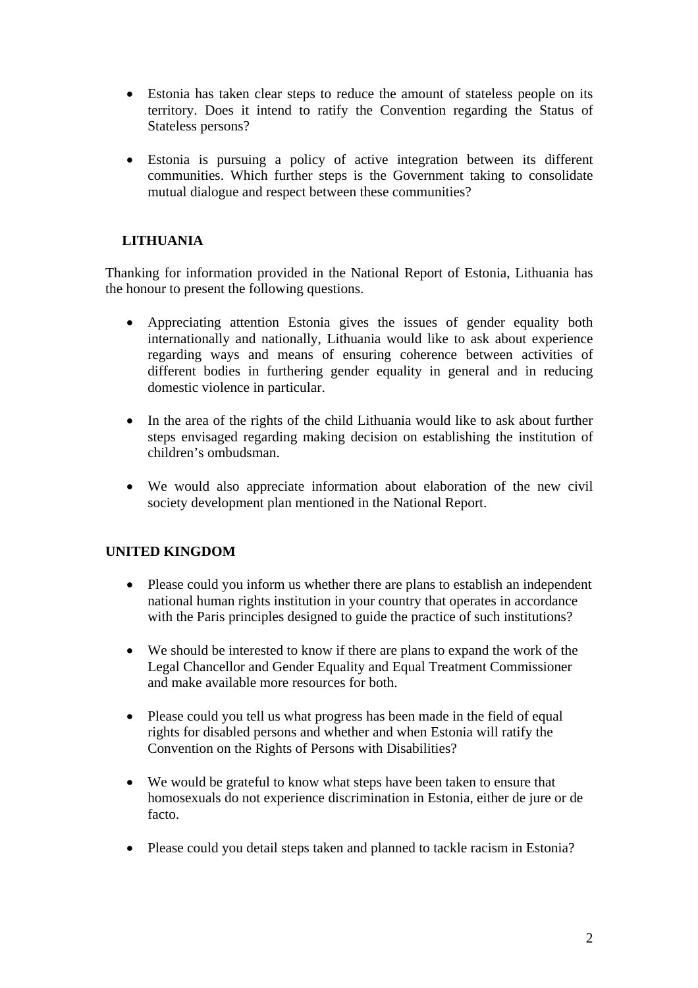- Estonia has taken clear steps to reduce the amount of stateless people on its territory. Does it intend to ratify the Convention regarding the Status of Stateless persons?
- Estonia is pursuing a policy of active integration between its different communities. Which further steps is the Government taking to consolidate mutual dialogue and respect between these communities?

## **LITHUANIA**

Thanking for information provided in the National Report of Estonia, Lithuania has the honour to present the following questions.

- Appreciating attention Estonia gives the issues of gender equality both internationally and nationally, Lithuania would like to ask about experience regarding ways and means of ensuring coherence between activities of different bodies in furthering gender equality in general and in reducing domestic violence in particular.
- In the area of the rights of the child Lithuania would like to ask about further steps envisaged regarding making decision on establishing the institution of children's ombudsman.
- We would also appreciate information about elaboration of the new civil society development plan mentioned in the National Report.

## **UNITED KINGDOM**

- Please could you inform us whether there are plans to establish an independent national human rights institution in your country that operates in accordance with the Paris principles designed to guide the practice of such institutions?
- We should be interested to know if there are plans to expand the work of the Legal Chancellor and Gender Equality and Equal Treatment Commissioner and make available more resources for both.
- Please could you tell us what progress has been made in the field of equal rights for disabled persons and whether and when Estonia will ratify the Convention on the Rights of Persons with Disabilities?
- We would be grateful to know what steps have been taken to ensure that homosexuals do not experience discrimination in Estonia, either de jure or de facto.
- Please could you detail steps taken and planned to tackle racism in Estonia?